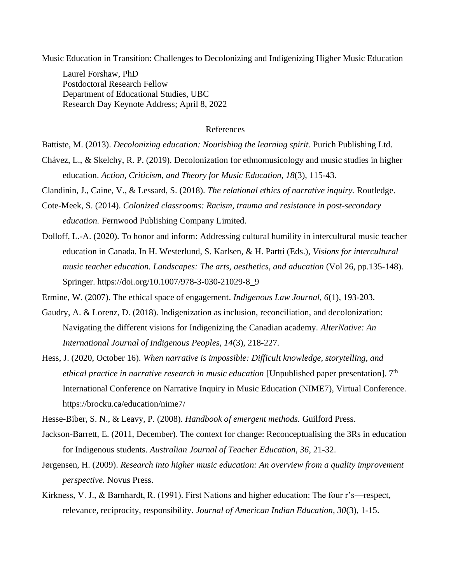Music Education in Transition: Challenges to Decolonizing and Indigenizing Higher Music Education

Laurel Forshaw, PhD Postdoctoral Research Fellow Department of Educational Studies, UBC Research Day Keynote Address; April 8, 2022

## References

Battiste, M. (2013). *Decolonizing education: Nourishing the learning spirit*. Purich Publishing Ltd.

Chávez, L., & Skelchy, R. P. (2019). Decolonization for ethnomusicology and music studies in higher education. *Action, Criticism, and Theory for Music Education, 18*(3), 115-43.

Clandinin, J., Caine, V., & Lessard, S. (2018). *The relational ethics of narrative inquiry.* Routledge.

- Cote-Meek, S. (2014). *Colonized classrooms: Racism, trauma and resistance in post-secondary education.* Fernwood Publishing Company Limited.
- Dolloff, L.-A. (2020). To honor and inform: Addressing cultural humility in intercultural music teacher education in Canada. In H. Westerlund, S. Karlsen, & H. Partti (Eds.), *Visions for intercultural music teacher education. Landscapes: The arts, aesthetics, and aducation* (Vol 26, pp.135-148). Springer. https://doi.org/10.1007/978-3-030-21029-8\_9

Ermine, W. (2007). The ethical space of engagement. *Indigenous Law Journal, 6*(1), 193-203.

- Gaudry, A. & Lorenz, D. (2018). Indigenization as inclusion, reconciliation, and decolonization: Navigating the different visions for Indigenizing the Canadian academy. *AlterNative: An International Journal of Indigenous Peoples, 14*(3), 218-227.
- Hess, J. (2020, October 16). *When narrative is impossible: Difficult knowledge, storytelling, and ethical practice in narrative research in music education* [Unpublished paper presentation]. 7<sup>th</sup> International Conference on Narrative Inquiry in Music Education (NIME7), Virtual Conference. https://brocku.ca/education/nime7/

Hesse-Biber, S. N., & Leavy, P. (2008). *Handbook of emergent methods.* Guilford Press.

- Jackson-Barrett, E. (2011, December). The context for change: Reconceptualising the 3Rs in education for Indigenous students. *Australian Journal of Teacher Education, 36*, 21-32.
- Jørgensen, H. (2009). *Research into higher music education: An overview from a quality improvement perspective.* Novus Press.
- Kirkness, V. J., & Barnhardt, R. (1991). First Nations and higher education: The four r's—respect, relevance, reciprocity, responsibility. *Journal of American Indian Education, 30*(3), 1-15.